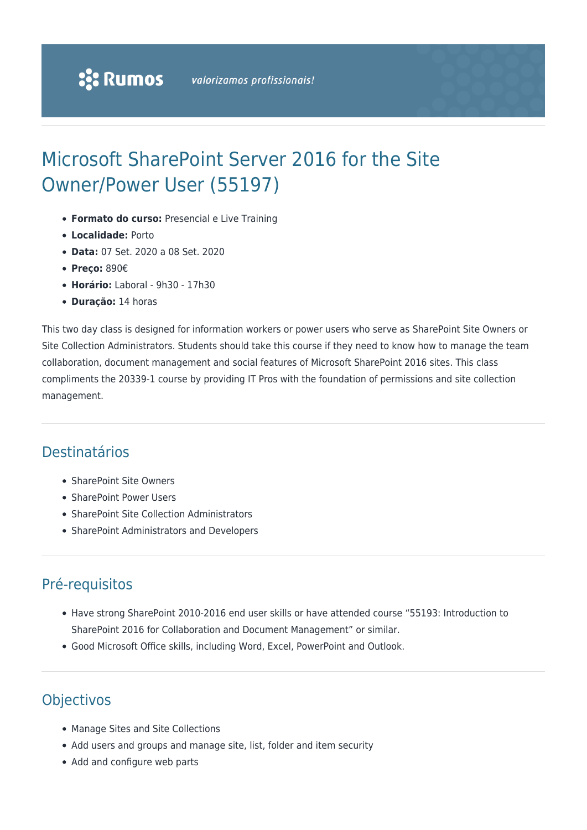# Microsoft SharePoint Server 2016 for the Site Owner/Power User (55197)

- **Formato do curso:** Presencial e Live Training
- **Localidade:** Porto
- **Data:** 07 Set. 2020 a 08 Set. 2020
- **Preço:** 890€
- **Horário:** Laboral 9h30 17h30
- **Duração:** 14 horas

This two day class is designed for information workers or power users who serve as SharePoint Site Owners or Site Collection Administrators. Students should take this course if they need to know how to manage the team collaboration, document management and social features of Microsoft SharePoint 2016 sites. This class compliments the 20339-1 course by providing IT Pros with the foundation of permissions and site collection management.

# Destinatários

- SharePoint Site Owners
- SharePoint Power Users
- SharePoint Site Collection Administrators
- SharePoint Administrators and Developers

# Pré-requisitos

- Have strong SharePoint 2010-2016 end user skills or have attended course "55193: Introduction to SharePoint 2016 for Collaboration and Document Management" or similar.
- Good Microsoft Office skills, including Word, Excel, PowerPoint and Outlook.

# **Objectivos**

- Manage Sites and Site Collections
- Add users and groups and manage site, list, folder and item security
- Add and configure web parts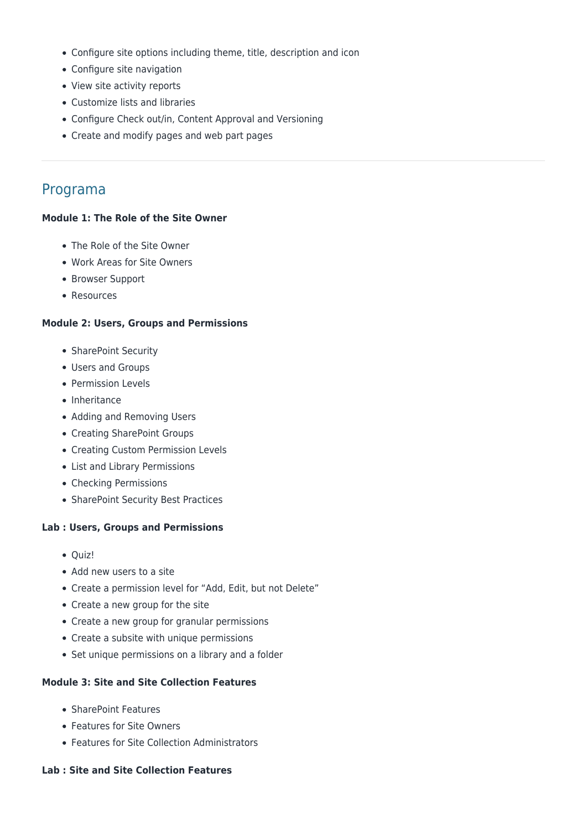- Configure site options including theme, title, description and icon
- Configure site navigation
- View site activity reports
- Customize lists and libraries
- Configure Check out/in, Content Approval and Versioning
- Create and modify pages and web part pages

# Programa

#### **Module 1: The Role of the Site Owner**

- The Role of the Site Owner
- Work Areas for Site Owners
- Browser Support
- Resources

#### **Module 2: Users, Groups and Permissions**

- SharePoint Security
- Users and Groups
- Permission Levels
- Inheritance
- Adding and Removing Users
- Creating SharePoint Groups
- Creating Custom Permission Levels
- List and Library Permissions
- Checking Permissions
- SharePoint Security Best Practices

#### **Lab : Users, Groups and Permissions**

- Quiz!
- Add new users to a site
- Create a permission level for "Add, Edit, but not Delete"
- Create a new group for the site
- Create a new group for granular permissions
- Create a subsite with unique permissions
- Set unique permissions on a library and a folder

#### **Module 3: Site and Site Collection Features**

- SharePoint Features
- Features for Site Owners
- Features for Site Collection Administrators

#### **Lab : Site and Site Collection Features**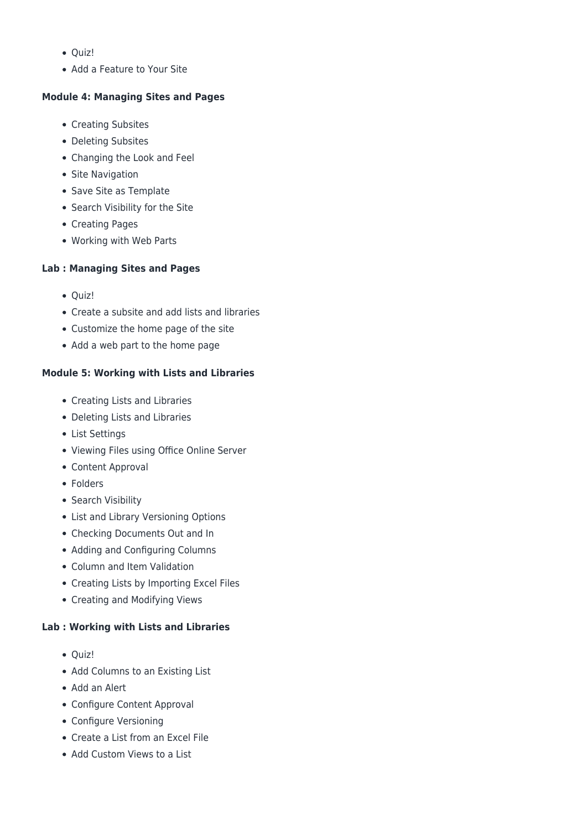- $\bullet$  Ouiz!
- Add a Feature to Your Site

# **Module 4: Managing Sites and Pages**

- Creating Subsites
- Deleting Subsites
- Changing the Look and Feel
- Site Navigation
- Save Site as Template
- Search Visibility for the Site
- Creating Pages
- Working with Web Parts

# **Lab : Managing Sites and Pages**

- Quiz!
- Create a subsite and add lists and libraries
- Customize the home page of the site
- Add a web part to the home page

# **Module 5: Working with Lists and Libraries**

- Creating Lists and Libraries
- Deleting Lists and Libraries
- List Settings
- Viewing Files using Office Online Server
- Content Approval
- Folders
- Search Visibility
- List and Library Versioning Options
- Checking Documents Out and In
- Adding and Configuring Columns
- Column and Item Validation
- Creating Lists by Importing Excel Files
- Creating and Modifying Views

### **Lab : Working with Lists and Libraries**

- Quiz!
- Add Columns to an Existing List
- Add an Alert
- Configure Content Approval
- Configure Versioning
- Create a List from an Excel File
- Add Custom Views to a List